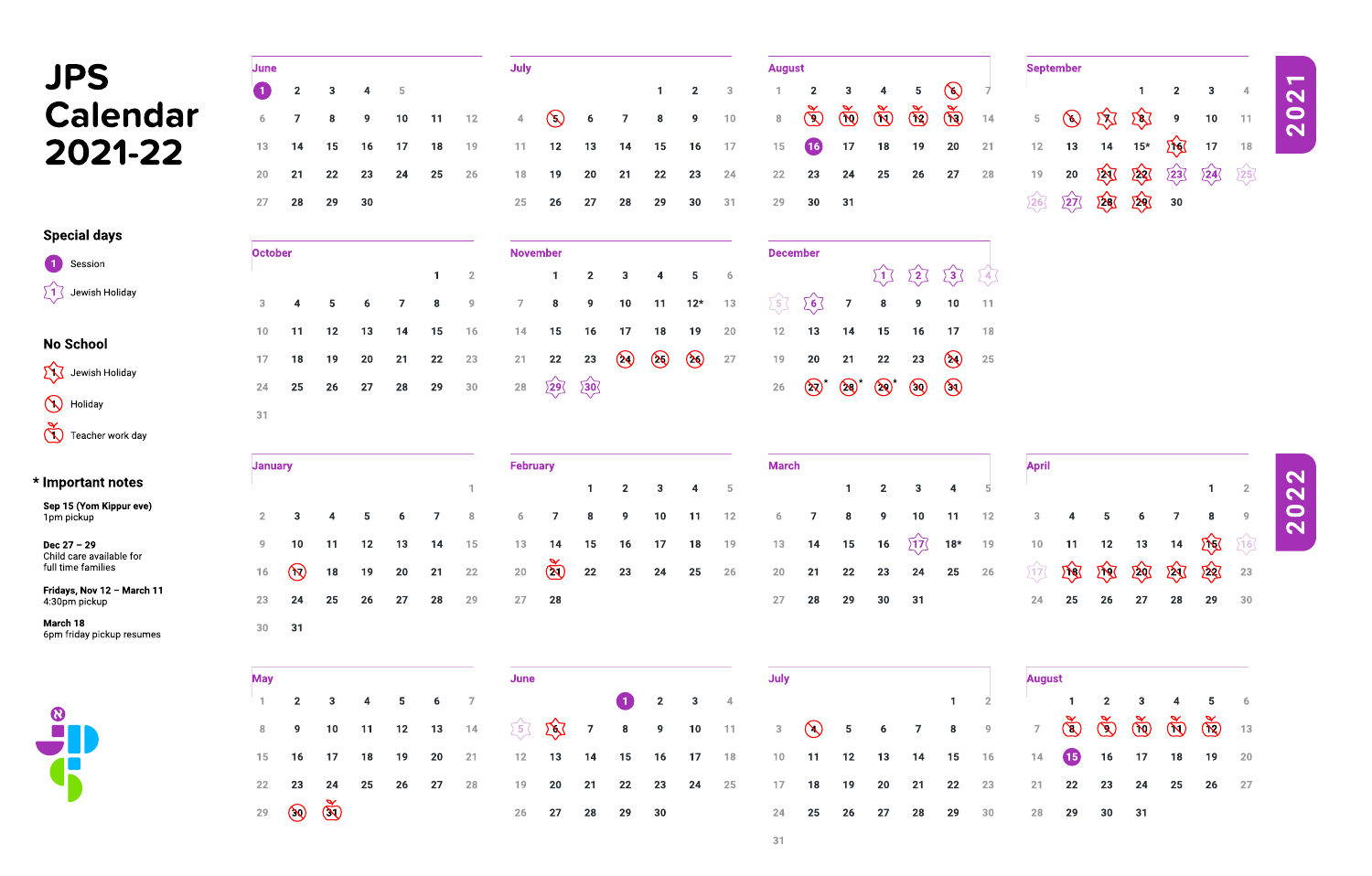| June            |              |                         |                |            |           |                | <b>July</b>      |                |                |                         |                         |                |              | <b>August</b>                                                                                                                                          |                      |                      |                      |                       |                       |           |                                 | <b>September</b> |             |                 |                |    |                |
|-----------------|--------------|-------------------------|----------------|------------|-----------|----------------|------------------|----------------|----------------|-------------------------|-------------------------|----------------|--------------|--------------------------------------------------------------------------------------------------------------------------------------------------------|----------------------|----------------------|----------------------|-----------------------|-----------------------|-----------|---------------------------------|------------------|-------------|-----------------|----------------|----|----------------|
| $\blacksquare$  | $\mathbf{2}$ | $\mathbf{3}$            | 4              | $\sqrt{5}$ |           |                |                  |                |                |                         |                         | 2 <sub>1</sub> | $\mathbf{3}$ |                                                                                                                                                        | $\mathbf{2}$         | $\mathbf{3}$         | 4                    | 5 <sub>5</sub>        | $\bigotimes$          |           |                                 |                  |             |                 | $\overline{2}$ | 3  | $\overline{4}$ |
| 6               |              | 8                       | 9              | 10         | 11        | $12$           | 4                | $\bigodot$     | 6              | $\overline{\mathbf{z}}$ | 8                       | 9              | 10           | 8                                                                                                                                                      | $\bigcircled{S}$     | $\bigcirc$           | $\tilde{\mathbb{Q}}$ | $\bigotimes^{\infty}$ | $\bigotimes^{\infty}$ | 14        | 5 <sub>1</sub>                  | $\bigotimes$     | 双           | $Z\overline{S}$ | 9              | 10 | $-11$          |
| 13              | 14           | 15                      | 16             | 17         | <b>18</b> | 19             | 11               | 12             | 13             | 14                      | 15                      | <b>16</b>      | 17           | 15                                                                                                                                                     | $\left(16\right)$    | 17                   | <b>18</b>            | 19                    | <b>20</b>             | 21        | $12$                            | 13               | 14          | $15*$           | <b>That</b>    | 17 | <b>18</b>      |
| 20              | 21           | 22                      | 23             | 24         | 25        | 26             | 18               | 19             | <b>20</b>      | 21                      | 22                      | 23             | 24           | 22                                                                                                                                                     | 23                   | 24                   | <b>25</b>            | 26                    | 27                    | 28        | 19                              | <b>20</b>        | 欧           | 攻               | 23             | 24 | $\sum$         |
| 27              | 28           | 29                      | 30             |            |           |                | 25               | 26             | 27             | <b>28</b>               | 29                      | 30             | 31           | 29                                                                                                                                                     | 30                   | 31                   |                      |                       |                       |           | 26                              | 27               | 图           | 293             | 30             |    |                |
| <b>October</b>  |              |                         |                |            |           |                | <b>November</b>  |                |                |                         |                         |                |              | <b>December</b>                                                                                                                                        |                      |                      |                      |                       |                       |           |                                 |                  |             |                 |                |    |                |
|                 |              |                         |                |            |           | $\overline{2}$ |                  |                | 2 <sub>1</sub> | 3                       | $\overline{\mathbf{4}}$ | 5              | 6            |                                                                                                                                                        |                      |                      |                      | $\Sigma$              | $\sqrt{3}$            | 24        |                                 |                  |             |                 |                |    |                |
| 3               | 4            | 5                       | 6              |            | 8         | 9              |                  | 8              | 9              | 10                      | 11                      | $12*$          | 13           | $\big\}$ 5 $\big\{$                                                                                                                                    | $\left[6\right]$     | $\overline{7}$       | 8                    | 9                     | 10                    | 11        |                                 |                  |             |                 |                |    |                |
| 10 <sub>1</sub> | 11           | 12                      | 13             | 14         | 15        | 16             | 14               | <b>15</b>      | <b>16</b>      | 17                      | <b>18</b>               | 19             | <b>20</b>    | $12$                                                                                                                                                   | 13                   | 14                   | <b>15</b>            | <b>16</b>             | 17                    | <b>18</b> |                                 |                  |             |                 |                |    |                |
| 17 <sub>1</sub> | <b>18</b>    | 19                      | 20             | 21         | 22        | 23             | 21               | 22             | 23             | $\bigotimes$            | $\circledast$           | $\circled{8}$  | 27           | 19                                                                                                                                                     | <b>20</b>            | 21                   | 22                   | 23                    | $\bigotimes$          | 25        |                                 |                  |             |                 |                |    |                |
| 24              | 25           | <b>26</b>               | 27             | <b>28</b>  | 29        | 30             | 28               | 29             | 20             |                         |                         |                |              | 26                                                                                                                                                     | $\bigotimes^{\star}$ | $\bigotimes^{\star}$ | $\bigotimes^{\star}$ | $\bigcirc$            | $\circledcirc$        |           |                                 |                  |             |                 |                |    |                |
| 31              |              |                         |                |            |           |                |                  |                |                |                         |                         |                |              |                                                                                                                                                        |                      |                      |                      |                       |                       |           |                                 |                  |             |                 |                |    |                |
| <b>January</b>  |              |                         |                |            |           |                | <b>February</b>  |                |                |                         |                         |                |              | <b>March</b>                                                                                                                                           |                      |                      |                      |                       |                       |           | <b>April</b>                    |                  |             |                 |                |    |                |
|                 |              |                         |                |            |           |                |                  |                | $\mathbf 1$    | 2 <sub>2</sub>          | $\mathbf{3}$            | 4              | $\sqrt{5}$   |                                                                                                                                                        |                      |                      | $2^{\circ}$          | $3\phantom{a}$        | 4                     | $-5$      |                                 |                  |             |                 |                |    | $\overline{2}$ |
| 2 <sub>1</sub>  | $\mathbf{3}$ | $\overline{\mathbf{4}}$ | $5\phantom{1}$ | 6          |           | 8              | 6                | $\overline{7}$ | 8              | 9                       | 10                      | 11             | 12           | 6 <sup>1</sup>                                                                                                                                         |                      | 8                    | 9                    | 10                    | 11                    | $12$      | 3                               |                  | 5           | 6               |                | 8  | 9              |
| 9               | 10           | 11                      | 12             | 13         | 14        | 15             | 13               | 14             | <b>15</b>      | 16                      | 17                      | <b>18</b>      | 19           | 13                                                                                                                                                     | 14                   | <b>15</b>            | <b>16</b>            | ∑1ス                   | $18*$                 | 19        | 10                              | 11               | 12          | 13              | 14             | 区区 | $\sqrt{16}$    |
| $16$            | $\bigotimes$ | <b>18</b>               | 19             | 20         | 21        | 22             | 20               | $\bigotimes$   | 22             | 23                      | 24                      | <b>25</b>      | <b>26</b>    | 20                                                                                                                                                     | 21                   | 22                   | 23                   | 24                    | 25                    | <b>26</b> | $\Sigma$ 17 $\overline{\Delta}$ | <b>There</b>     | <b>ENST</b> | 区               | 欧              | 欧  | 23             |
| 23              | 24           | 25                      | 26             | 27         | 28        | 29             | 27               | 28             |                |                         |                         |                |              | 27                                                                                                                                                     | 28                   | 29                   | 30                   | 31                    |                       |           | 24                              | 25               | 26          | 27              | 28             | 29 | 30             |
| 30              | 31           |                         |                |            |           |                |                  |                |                |                         |                         |                |              |                                                                                                                                                        |                      |                      |                      |                       |                       |           |                                 |                  |             |                 |                |    |                |
| <b>May</b>      |              |                         |                |            |           |                | <b>Example 1</b> |                |                |                         |                         |                |              | <b>Solution Street Street Street Street Street Street Street Street Street Street Street Street Street Street St</b>                                   |                      |                      |                      |                       |                       |           | <b>August</b>                   |                  |             |                 |                |    |                |
|                 |              |                         |                |            |           |                |                  |                |                |                         |                         |                |              | 1 2 3 4 5 6 7 1 2 3 4 5 6 1 2 3 4 5 6                                                                                                                  |                      |                      |                      |                       |                       |           |                                 |                  |             |                 |                |    |                |
|                 |              |                         |                |            |           |                |                  |                |                |                         |                         |                |              | 8 9 10 11 12 13 14 $\sqrt{5}$ $\sqrt{6}$ 7 8 9 10 11 3 $\sqrt{4}$ 5 6 7 8 9 7 $\sqrt{8}$ $\sqrt{9}$ $\sqrt{10}$ $\sqrt{10}$ $\sqrt{10}$ $\sqrt{10}$ 13 |                      |                      |                      |                       |                       |           |                                 |                  |             |                 |                |    |                |
|                 |              |                         |                |            |           |                |                  |                |                |                         |                         |                |              | 15 16 17 18 19 20 21 12 13 14 15 16 17 18 10 11 12 13 14 15 16 14 15 16 17 18 19 20                                                                    |                      |                      |                      |                       |                       |           |                                 |                  |             |                 |                |    |                |
|                 |              |                         |                |            |           |                |                  |                |                |                         |                         |                |              |                                                                                                                                                        |                      |                      |                      |                       |                       |           |                                 |                  |             |                 |                |    |                |
|                 |              | 22 23 24 25 26 27 28    |                |            |           |                |                  |                |                |                         |                         |                |              | 19 20 21 22 23 24 25 17 18 19 20 21 22 23 21 22 23 24 25 26 27                                                                                         |                      |                      |                      |                       |                       |           |                                 |                  |             |                 |                |    |                |



|    | <b>September</b> |               |              |                    |    |    |
|----|------------------|---------------|--------------|--------------------|----|----|
|    |                  |               | 1            | $\overline{2}$     | 3  | 4  |
| 5  | $\mathbf{g}$     | $\mathcal{R}$ | $\mathbf{g}$ | 9                  | 10 | 11 |
| 12 | 13               | 14            | $15*$        | $\mathbf{\hat{Q}}$ | 17 | 18 |
| 19 | 20               | <u>\Z\]</u>   | 攻            | $\sqrt{23}$        | 24 | 25 |
|    | $\rangle$ 27     | $\mathbf{R}$  |              | 30                 |    |    |

Special days

No School

\* Important notes

Sep 15 (Yom Kippur eve)

1pm pickup

Fridays, Nov 12 – March 11

4:30pm pickup

Dec 27 – 29

Child care available for

full time families

March 18

6pm friday pickup resumes

Holiday

## JPS Calendar 2021-22

1 Session<br>21 Jewish Holiday

1 Jewish Holiday

Teacher work day